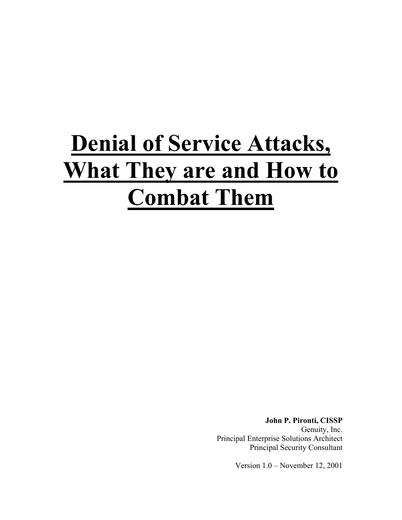# **Denial of Service Attacks, What They are and How to Combat Them**

**John P. Pironti, CISSP**  Genuity, Inc. Principal Enterprise Solutions Architect Principal Security Consultant

Version 1.0 – November 12, 2001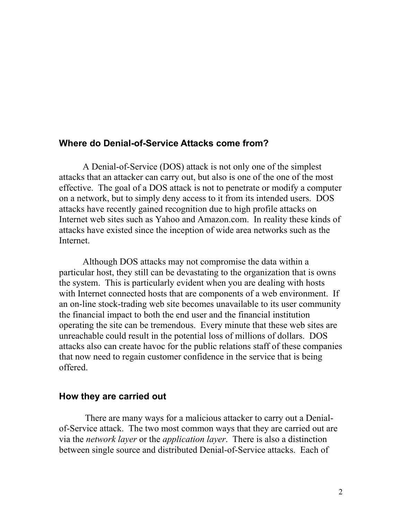#### **Where do Denial-of-Service Attacks come from?**

A Denial-of-Service (DOS) attack is not only one of the simplest attacks that an attacker can carry out, but also is one of the one of the most effective. The goal of a DOS attack is not to penetrate or modify a computer on a network, but to simply deny access to it from its intended users. DOS attacks have recently gained recognition due to high profile attacks on Internet web sites such as Yahoo and Amazon.com. In reality these kinds of attacks have existed since the inception of wide area networks such as the Internet.

Although DOS attacks may not compromise the data within a particular host, they still can be devastating to the organization that is owns the system. This is particularly evident when you are dealing with hosts with Internet connected hosts that are components of a web environment. If an on-line stock-trading web site becomes unavailable to its user community the financial impact to both the end user and the financial institution operating the site can be tremendous. Every minute that these web sites are unreachable could result in the potential loss of millions of dollars. DOS attacks also can create havoc for the public relations staff of these companies that now need to regain customer confidence in the service that is being offered.

#### **How they are carried out**

 There are many ways for a malicious attacker to carry out a Denialof-Service attack. The two most common ways that they are carried out are via the *network layer* or the *application layer*. There is also a distinction between single source and distributed Denial-of-Service attacks. Each of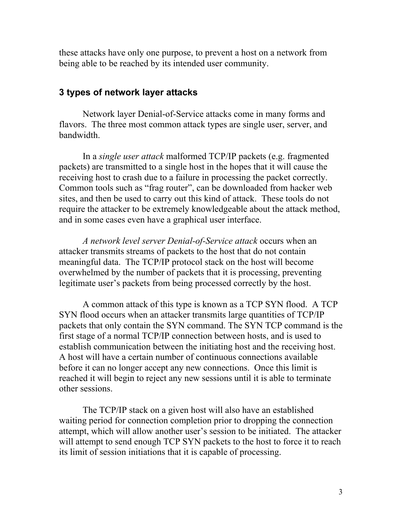these attacks have only one purpose, to prevent a host on a network from being able to be reached by its intended user community.

#### **3 types of network layer attacks**

Network layer Denial-of-Service attacks come in many forms and flavors. The three most common attack types are single user, server, and bandwidth.

In a *single user attack* malformed TCP/IP packets (e.g. fragmented packets) are transmitted to a single host in the hopes that it will cause the receiving host to crash due to a failure in processing the packet correctly. Common tools such as "frag router", can be downloaded from hacker web sites, and then be used to carry out this kind of attack. These tools do not require the attacker to be extremely knowledgeable about the attack method, and in some cases even have a graphical user interface.

*A network level server Denial-of-Service attack* occurs when an attacker transmits streams of packets to the host that do not contain meaningful data. The TCP/IP protocol stack on the host will become overwhelmed by the number of packets that it is processing, preventing legitimate user's packets from being processed correctly by the host.

A common attack of this type is known as a TCP SYN flood. A TCP SYN flood occurs when an attacker transmits large quantities of TCP/IP packets that only contain the SYN command. The SYN TCP command is the first stage of a normal TCP/IP connection between hosts, and is used to establish communication between the initiating host and the receiving host. A host will have a certain number of continuous connections available before it can no longer accept any new connections. Once this limit is reached it will begin to reject any new sessions until it is able to terminate other sessions.

The TCP/IP stack on a given host will also have an established waiting period for connection completion prior to dropping the connection attempt, which will allow another user's session to be initiated. The attacker will attempt to send enough TCP SYN packets to the host to force it to reach its limit of session initiations that it is capable of processing.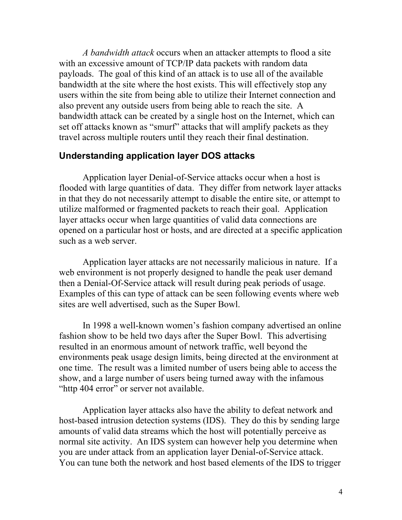*A bandwidth attack* occurs when an attacker attempts to flood a site with an excessive amount of TCP/IP data packets with random data payloads. The goal of this kind of an attack is to use all of the available bandwidth at the site where the host exists. This will effectively stop any users within the site from being able to utilize their Internet connection and also prevent any outside users from being able to reach the site. A bandwidth attack can be created by a single host on the Internet, which can set off attacks known as "smurf" attacks that will amplify packets as they travel across multiple routers until they reach their final destination.

#### **Understanding application layer DOS attacks**

Application layer Denial-of-Service attacks occur when a host is flooded with large quantities of data. They differ from network layer attacks in that they do not necessarily attempt to disable the entire site, or attempt to utilize malformed or fragmented packets to reach their goal. Application layer attacks occur when large quantities of valid data connections are opened on a particular host or hosts, and are directed at a specific application such as a web server.

Application layer attacks are not necessarily malicious in nature. If a web environment is not properly designed to handle the peak user demand then a Denial-Of-Service attack will result during peak periods of usage. Examples of this can type of attack can be seen following events where web sites are well advertised, such as the Super Bowl.

In 1998 a well-known women's fashion company advertised an online fashion show to be held two days after the Super Bowl. This advertising resulted in an enormous amount of network traffic, well beyond the environments peak usage design limits, being directed at the environment at one time. The result was a limited number of users being able to access the show, and a large number of users being turned away with the infamous "http 404 error" or server not available.

Application layer attacks also have the ability to defeat network and host-based intrusion detection systems (IDS). They do this by sending large amounts of valid data streams which the host will potentially perceive as normal site activity. An IDS system can however help you determine when you are under attack from an application layer Denial-of-Service attack. You can tune both the network and host based elements of the IDS to trigger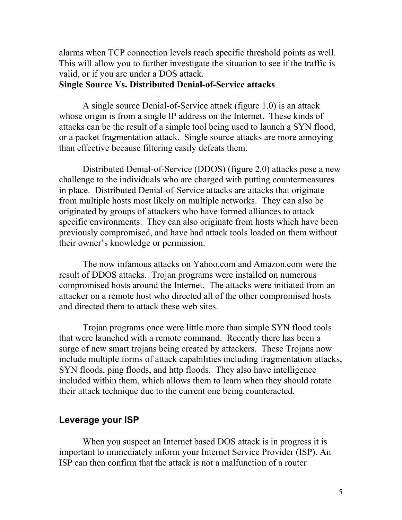alarms when TCP connection levels reach specific threshold points as well. This will allow you to further investigate the situation to see if the traffic is valid, or if you are under a DOS attack.

#### **Single Source Vs. Distributed Denial-of-Service attacks**

A single source Denial-of-Service attack (figure 1.0) is an attack whose origin is from a single IP address on the Internet. These kinds of attacks can be the result of a simple tool being used to launch a SYN flood, or a packet fragmentation attack. Single source attacks are more annoying than effective because filtering easily defeats them.

Distributed Denial-of-Service (DDOS) (figure 2.0) attacks pose a new challenge to the individuals who are charged with putting countermeasures in place. Distributed Denial-of-Service attacks are attacks that originate from multiple hosts most likely on multiple networks. They can also be originated by groups of attackers who have formed alliances to attack specific environments. They can also originate from hosts which have been previously compromised, and have had attack tools loaded on them without their owner's knowledge or permission.

The now infamous attacks on Yahoo.com and Amazon.com were the result of DDOS attacks. Trojan programs were installed on numerous compromised hosts around the Internet. The attacks were initiated from an attacker on a remote host who directed all of the other compromised hosts and directed them to attack these web sites.

Trojan programs once were little more than simple SYN flood tools that were launched with a remote command. Recently there has been a surge of new smart trojans being created by attackers. These Trojans now include multiple forms of attack capabilities including fragmentation attacks, SYN floods, ping floods, and http floods. They also have intelligence included within them, which allows them to learn when they should rotate their attack technique due to the current one being counteracted.

#### **Leverage your ISP**

When you suspect an Internet based DOS attack is in progress it is important to immediately inform your Internet Service Provider (ISP). An ISP can then confirm that the attack is not a malfunction of a router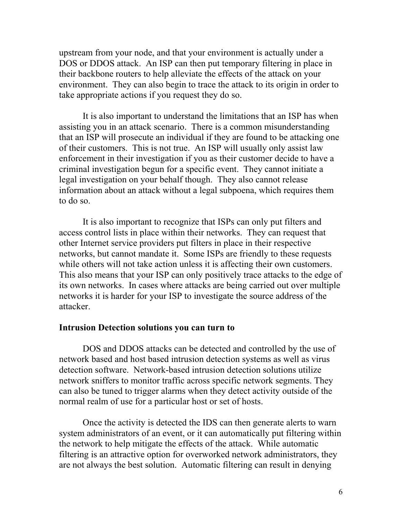upstream from your node, and that your environment is actually under a DOS or DDOS attack. An ISP can then put temporary filtering in place in their backbone routers to help alleviate the effects of the attack on your environment. They can also begin to trace the attack to its origin in order to take appropriate actions if you request they do so.

It is also important to understand the limitations that an ISP has when assisting you in an attack scenario. There is a common misunderstanding that an ISP will prosecute an individual if they are found to be attacking one of their customers. This is not true. An ISP will usually only assist law enforcement in their investigation if you as their customer decide to have a criminal investigation begun for a specific event. They cannot initiate a legal investigation on your behalf though. They also cannot release information about an attack without a legal subpoena, which requires them to do so.

It is also important to recognize that ISPs can only put filters and access control lists in place within their networks. They can request that other Internet service providers put filters in place in their respective networks, but cannot mandate it. Some ISPs are friendly to these requests while others will not take action unless it is affecting their own customers. This also means that your ISP can only positively trace attacks to the edge of its own networks. In cases where attacks are being carried out over multiple networks it is harder for your ISP to investigate the source address of the attacker.

#### **Intrusion Detection solutions you can turn to**

DOS and DDOS attacks can be detected and controlled by the use of network based and host based intrusion detection systems as well as virus detection software. Network-based intrusion detection solutions utilize network sniffers to monitor traffic across specific network segments. They can also be tuned to trigger alarms when they detect activity outside of the normal realm of use for a particular host or set of hosts.

Once the activity is detected the IDS can then generate alerts to warn system administrators of an event, or it can automatically put filtering within the network to help mitigate the effects of the attack. While automatic filtering is an attractive option for overworked network administrators, they are not always the best solution. Automatic filtering can result in denying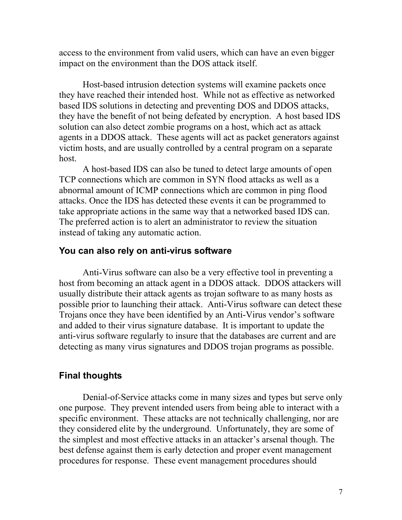access to the environment from valid users, which can have an even bigger impact on the environment than the DOS attack itself.

Host-based intrusion detection systems will examine packets once they have reached their intended host. While not as effective as networked based IDS solutions in detecting and preventing DOS and DDOS attacks, they have the benefit of not being defeated by encryption. A host based IDS solution can also detect zombie programs on a host, which act as attack agents in a DDOS attack. These agents will act as packet generators against victim hosts, and are usually controlled by a central program on a separate host.

A host-based IDS can also be tuned to detect large amounts of open TCP connections which are common in SYN flood attacks as well as a abnormal amount of ICMP connections which are common in ping flood attacks. Once the IDS has detected these events it can be programmed to take appropriate actions in the same way that a networked based IDS can. The preferred action is to alert an administrator to review the situation instead of taking any automatic action.

#### **You can also rely on anti-virus software**

Anti-Virus software can also be a very effective tool in preventing a host from becoming an attack agent in a DDOS attack. DDOS attackers will usually distribute their attack agents as trojan software to as many hosts as possible prior to launching their attack. Anti-Virus software can detect these Trojans once they have been identified by an Anti-Virus vendor's software and added to their virus signature database. It is important to update the anti-virus software regularly to insure that the databases are current and are detecting as many virus signatures and DDOS trojan programs as possible.

#### **Final thoughts**

Denial-of-Service attacks come in many sizes and types but serve only one purpose. They prevent intended users from being able to interact with a specific environment. These attacks are not technically challenging, nor are they considered elite by the underground. Unfortunately, they are some of the simplest and most effective attacks in an attacker's arsenal though. The best defense against them is early detection and proper event management procedures for response. These event management procedures should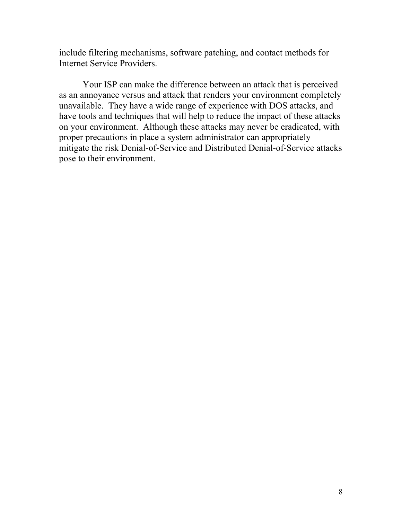include filtering mechanisms, software patching, and contact methods for Internet Service Providers.

Your ISP can make the difference between an attack that is perceived as an annoyance versus and attack that renders your environment completely unavailable. They have a wide range of experience with DOS attacks, and have tools and techniques that will help to reduce the impact of these attacks on your environment. Although these attacks may never be eradicated, with proper precautions in place a system administrator can appropriately mitigate the risk Denial-of-Service and Distributed Denial-of-Service attacks pose to their environment.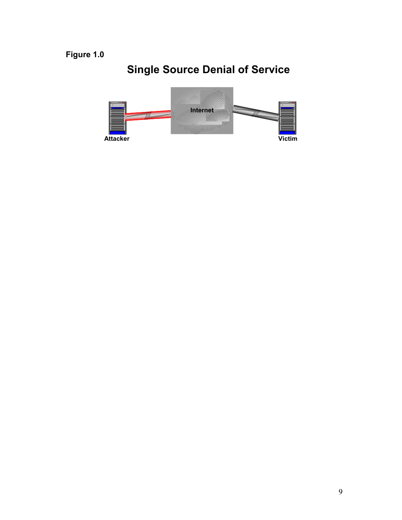## **Figure 1.0**

# **Single Source Denial of Service**